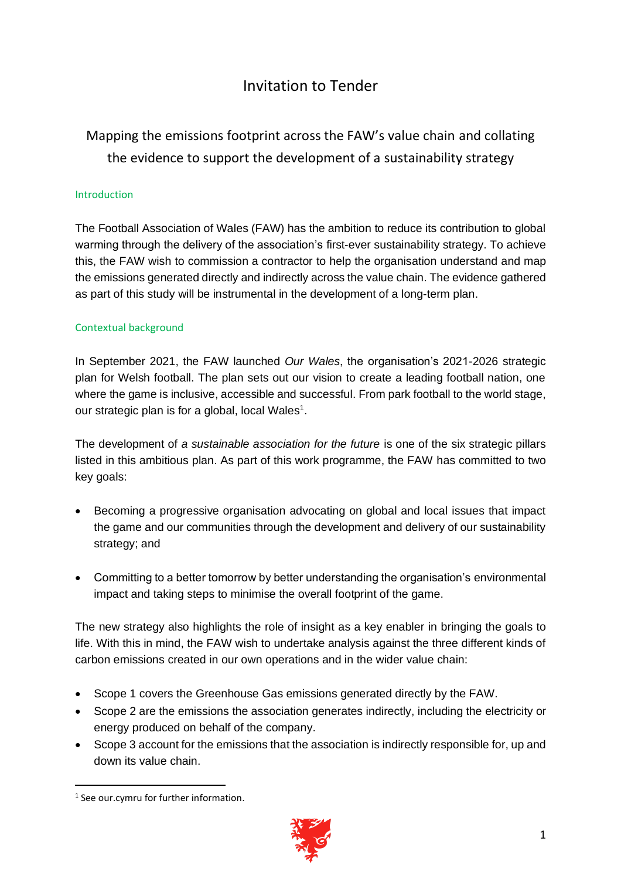## Invitation to Tender

# Mapping the emissions footprint across the FAW's value chain and collating the evidence to support the development of a sustainability strategy

## Introduction

The Football Association of Wales (FAW) has the ambition to reduce its contribution to global warming through the delivery of the association's first-ever sustainability strategy. To achieve this, the FAW wish to commission a contractor to help the organisation understand and map the emissions generated directly and indirectly across the value chain. The evidence gathered as part of this study will be instrumental in the development of a long-term plan.

## Contextual background

In September 2021, the FAW launched *Our Wales*, the organisation's 2021-2026 strategic plan for Welsh football. The plan sets out our vision to create a leading football nation, one where the game is inclusive, accessible and successful. From park football to the world stage, our strategic plan is for a global, local Wales<sup>1</sup>.

The development of *a sustainable association for the future* is one of the six strategic pillars listed in this ambitious plan. As part of this work programme, the FAW has committed to two key goals:

- Becoming a progressive organisation advocating on global and local issues that impact the game and our communities through the development and delivery of our sustainability strategy; and
- Committing to a better tomorrow by better understanding the organisation's environmental impact and taking steps to minimise the overall footprint of the game.

The new strategy also highlights the role of insight as a key enabler in bringing the goals to life. With this in mind, the FAW wish to undertake analysis against the three different kinds of carbon emissions created in our own operations and in the wider value chain:

- Scope 1 covers the Greenhouse Gas emissions generated directly by the FAW.
- Scope 2 are the emissions the association generates indirectly, including the electricity or energy produced on behalf of the company.
- Scope 3 account for the emissions that the association is indirectly responsible for, up and down its value chain.

<sup>1</sup> See our.cymru for further information.

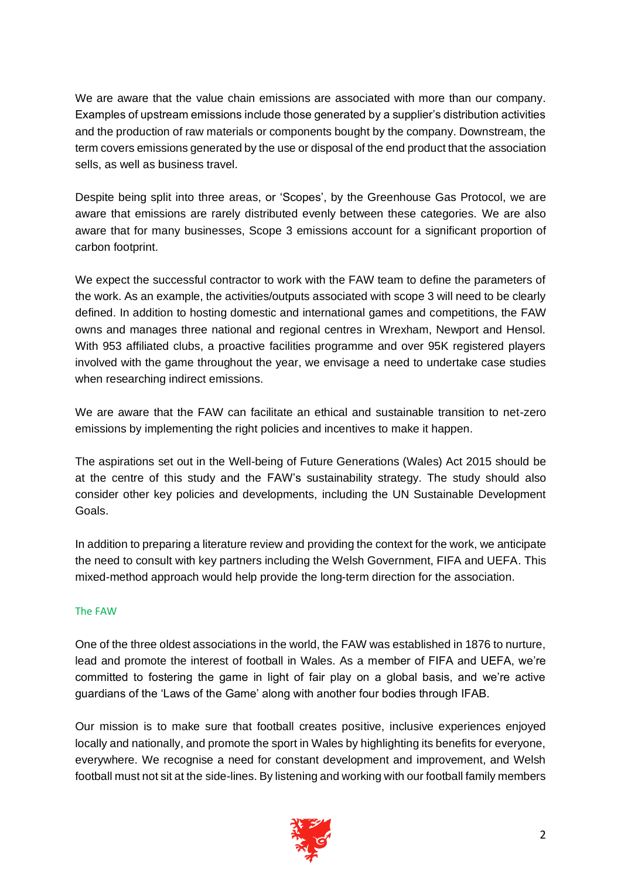We are aware that the value chain emissions are associated with more than our company. Examples of upstream emissions include those generated by a supplier's distribution activities and the production of raw materials or components bought by the company. Downstream, the term covers emissions generated by the use or disposal of the end product that the association sells, as well as business travel.

Despite being split into three areas, or 'Scopes', by the Greenhouse Gas Protocol, we are aware that emissions are rarely distributed evenly between these categories. We are also aware that for many businesses, Scope 3 emissions account for a significant proportion of carbon footprint.

We expect the successful contractor to work with the FAW team to define the parameters of the work. As an example, the activities/outputs associated with scope 3 will need to be clearly defined. In addition to hosting domestic and international games and competitions, the FAW owns and manages three national and regional centres in Wrexham, Newport and Hensol. With 953 affiliated clubs, a proactive facilities programme and over 95K registered players involved with the game throughout the year, we envisage a need to undertake case studies when researching indirect emissions.

We are aware that the FAW can facilitate an ethical and sustainable transition to net-zero emissions by implementing the right policies and incentives to make it happen.

The aspirations set out in the Well-being of Future Generations (Wales) Act 2015 should be at the centre of this study and the FAW's sustainability strategy. The study should also consider other key policies and developments, including the UN Sustainable Development Goals.

In addition to preparing a literature review and providing the context for the work, we anticipate the need to consult with key partners including the Welsh Government, FIFA and UEFA. This mixed-method approach would help provide the long-term direction for the association.

## The FAW

One of the three oldest associations in the world, the FAW was established in 1876 to nurture, lead and promote the interest of football in Wales. As a member of FIFA and UEFA, we're committed to fostering the game in light of fair play on a global basis, and we're active guardians of the 'Laws of the Game' along with another four bodies through IFAB.

Our mission is to make sure that football creates positive, inclusive experiences enjoyed locally and nationally, and promote the sport in Wales by highlighting its benefits for everyone, everywhere. We recognise a need for constant development and improvement, and Welsh football must not sit at the side-lines. By listening and working with our football family members

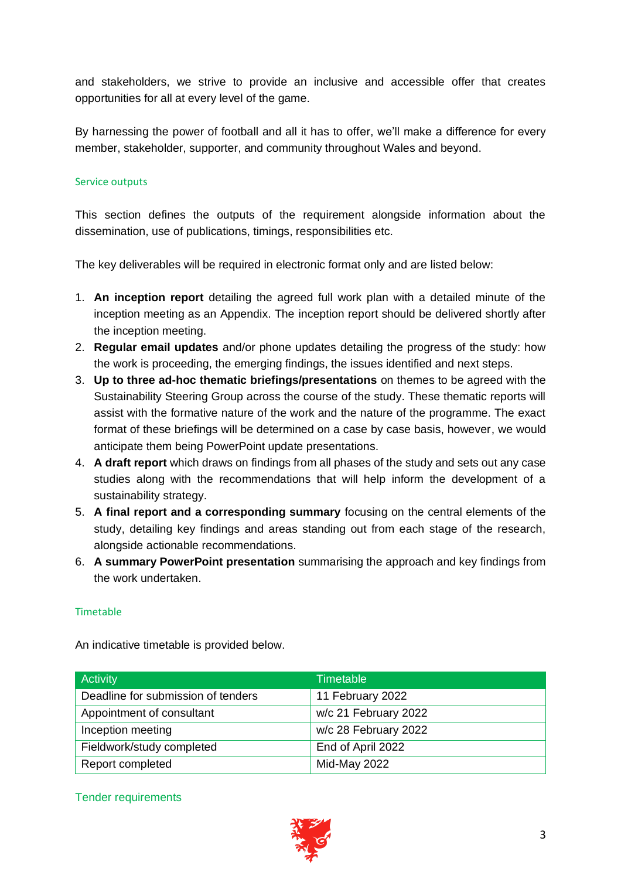and stakeholders, we strive to provide an inclusive and accessible offer that creates opportunities for all at every level of the game.

By harnessing the power of football and all it has to offer, we'll make a difference for every member, stakeholder, supporter, and community throughout Wales and beyond.

## Service outputs

This section defines the outputs of the requirement alongside information about the dissemination, use of publications, timings, responsibilities etc.

The key deliverables will be required in electronic format only and are listed below:

- 1. **An inception report** detailing the agreed full work plan with a detailed minute of the inception meeting as an Appendix. The inception report should be delivered shortly after the inception meeting.
- 2. **Regular email updates** and/or phone updates detailing the progress of the study: how the work is proceeding, the emerging findings, the issues identified and next steps.
- 3. **Up to three ad-hoc thematic briefings/presentations** on themes to be agreed with the Sustainability Steering Group across the course of the study. These thematic reports will assist with the formative nature of the work and the nature of the programme. The exact format of these briefings will be determined on a case by case basis, however, we would anticipate them being PowerPoint update presentations.
- 4. **A draft report** which draws on findings from all phases of the study and sets out any case studies along with the recommendations that will help inform the development of a sustainability strategy.
- 5. **A final report and a corresponding summary** focusing on the central elements of the study, detailing key findings and areas standing out from each stage of the research, alongside actionable recommendations.
- 6. **A summary PowerPoint presentation** summarising the approach and key findings from the work undertaken.

#### Timetable

An indicative timetable is provided below.

| Activity                           | Timetable            |
|------------------------------------|----------------------|
| Deadline for submission of tenders | 11 February 2022     |
| Appointment of consultant          | w/c 21 February 2022 |
| Inception meeting                  | w/c 28 February 2022 |
| Fieldwork/study completed          | End of April 2022    |
| Report completed                   | Mid-May 2022         |

#### Tender requirements

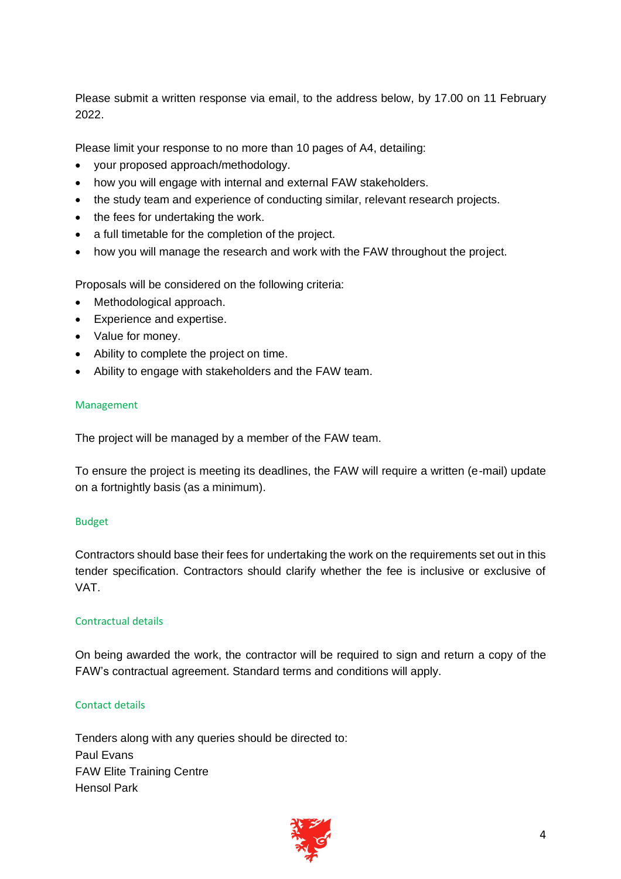Please submit a written response via email, to the address below, by 17.00 on 11 February 2022.

Please limit your response to no more than 10 pages of A4, detailing:

- your proposed approach/methodology.
- how you will engage with internal and external FAW stakeholders.
- the study team and experience of conducting similar, relevant research projects.
- the fees for undertaking the work.
- a full timetable for the completion of the project.
- how you will manage the research and work with the FAW throughout the project.

Proposals will be considered on the following criteria:

- Methodological approach.
- Experience and expertise.
- Value for money.
- Ability to complete the project on time.
- Ability to engage with stakeholders and the FAW team.

#### Management

The project will be managed by a member of the FAW team.

To ensure the project is meeting its deadlines, the FAW will require a written (e-mail) update on a fortnightly basis (as a minimum).

#### Budget

Contractors should base their fees for undertaking the work on the requirements set out in this tender specification. Contractors should clarify whether the fee is inclusive or exclusive of VAT.

#### Contractual details

On being awarded the work, the contractor will be required to sign and return a copy of the FAW's contractual agreement. Standard terms and conditions will apply.

#### Contact details

Tenders along with any queries should be directed to: Paul Evans FAW Elite Training Centre Hensol Park